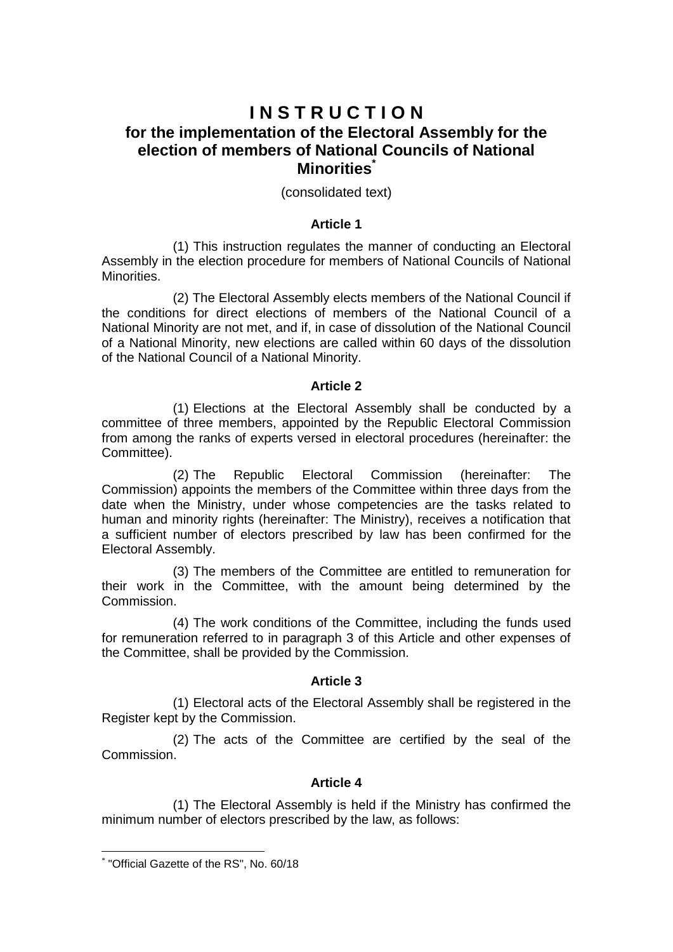# **I N S T R U C T I O N for the implementation of the Electoral Assembly for the election of members of National Councils of National Minorities\***

## (consolidated text)

## **Article 1**

(1) This instruction regulates the manner of conducting an Electoral Assembly in the election procedure for members of National Councils of National Minorities.

(2) The Electoral Assembly elects members of the National Council if the conditions for direct elections of members of the National Council of a National Minority are not met, and if, in case of dissolution of the National Council of a National Minority, new elections are called within 60 days of the dissolution of the National Council of a National Minority.

#### **Article 2**

(1) Elections at the Electoral Assembly shall be conducted by a committee of three members, appointed by the Republic Electoral Commission from among the ranks of experts versed in electoral procedures (hereinafter: the Committee).

(2) The Republic Electoral Commission (hereinafter: The Commission) appoints the members of the Committee within three days from the date when the Ministry, under whose competencies are the tasks related to human and minority rights (hereinafter: The Ministry), receives a notification that a sufficient number of electors prescribed by law has been confirmed for the Electoral Assembly.

(3) The members of the Committee are entitled to remuneration for their work in the Committee, with the amount being determined by the Commission.

(4) The work conditions of the Committee, including the funds used for remuneration referred to in paragraph 3 of this Article and other expenses of the Committee, shall be provided by the Commission.

## **Article 3**

(1) Electoral acts of the Electoral Assembly shall be registered in the Register kept by the Commission.

(2) The acts of the Committee are certified by the seal of the Commission.

#### **Article 4**

(1) The Electoral Assembly is held if the Ministry has confirmed the minimum number of electors prescribed by the law, as follows:

**.** 

<sup>\*</sup> "Official Gazette of the RS", No. 60/18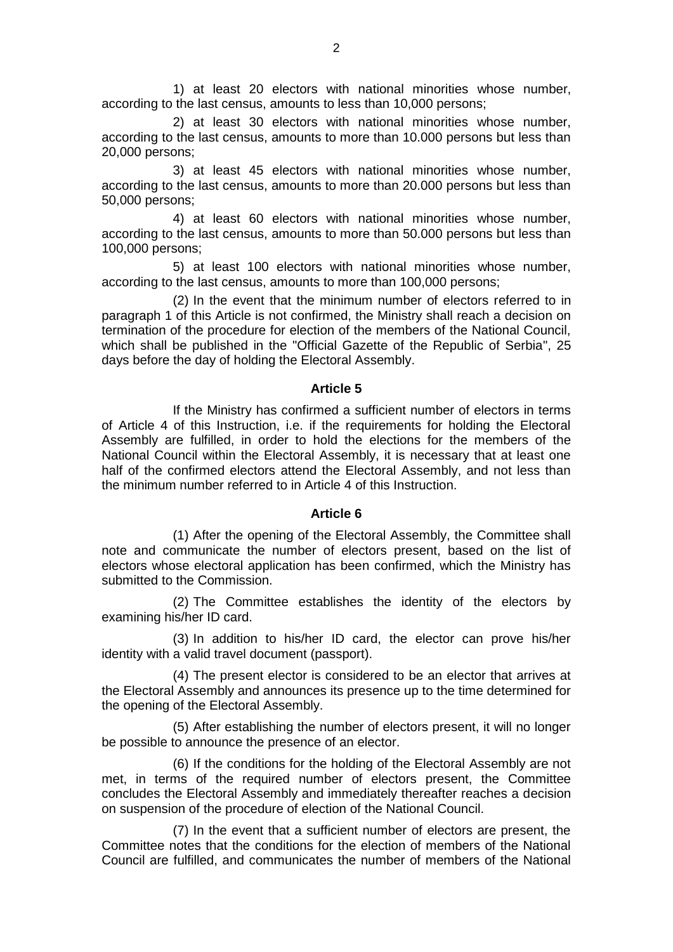1) at least 20 electors with national minorities whose number, according to the last census, amounts to less than 10,000 persons;

2) at least 30 electors with national minorities whose number, according to the last census, amounts to more than 10.000 persons but less than 20,000 persons;

3) at least 45 electors with national minorities whose number, according to the last census, amounts to more than 20.000 persons but less than 50,000 persons;

4) at least 60 electors with national minorities whose number, according to the last census, amounts to more than 50.000 persons but less than 100,000 persons;

5) at least 100 electors with national minorities whose number, according to the last census, amounts to more than 100,000 persons;

(2) In the event that the minimum number of electors referred to in paragraph 1 of this Article is not confirmed, the Ministry shall reach a decision on termination of the procedure for election of the members of the National Council, which shall be published in the "Official Gazette of the Republic of Serbia", 25 days before the day of holding the Electoral Assembly.

#### **Article 5**

If the Ministry has confirmed a sufficient number of electors in terms of Article 4 of this Instruction, i.e. if the requirements for holding the Electoral Assembly are fulfilled, in order to hold the elections for the members of the National Council within the Electoral Assembly, it is necessary that at least one half of the confirmed electors attend the Electoral Assembly, and not less than the minimum number referred to in Article 4 of this Instruction.

#### **Article 6**

(1) After the opening of the Electoral Assembly, the Committee shall note and communicate the number of electors present, based on the list of electors whose electoral application has been confirmed, which the Ministry has submitted to the Commission.

(2) The Committee establishes the identity of the electors by examining his/her ID card.

(3) In addition to his/her ID card, the elector can prove his/her identity with a valid travel document (passport).

(4) The present elector is considered to be an elector that arrives at the Electoral Assembly and announces its presence up to the time determined for the opening of the Electoral Assembly.

(5) After establishing the number of electors present, it will no longer be possible to announce the presence of an elector.

(6) If the conditions for the holding of the Electoral Assembly are not met, in terms of the required number of electors present, the Committee concludes the Electoral Assembly and immediately thereafter reaches a decision on suspension of the procedure of election of the National Council.

(7) In the event that a sufficient number of electors are present, the Committee notes that the conditions for the election of members of the National Council are fulfilled, and communicates the number of members of the National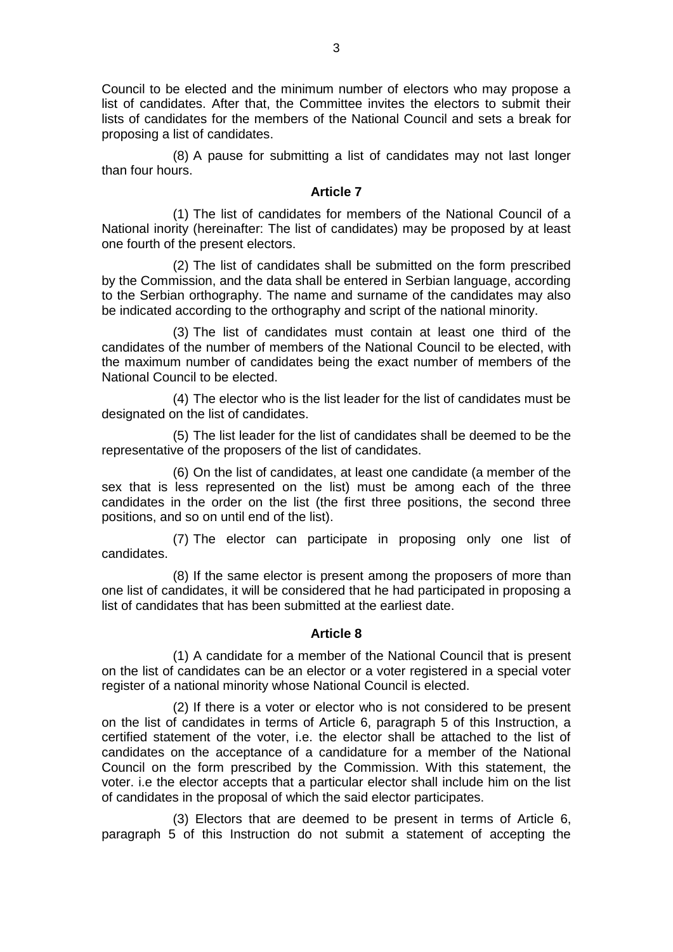Council to be elected and the minimum number of electors who may propose a list of candidates. After that, the Committee invites the electors to submit their lists of candidates for the members of the National Council and sets a break for proposing a list of candidates.

(8) A pause for submitting a list of candidates may not last longer than four hours.

## **Article 7**

(1) The list of candidates for members of the National Council of a National inority (hereinafter: The list of candidates) may be proposed by at least one fourth of the present electors.

(2) The list of candidates shall be submitted on the form prescribed by the Commission, and the data shall be entered in Serbian language, according to the Serbian orthography. The name and surname of the candidates may also be indicated according to the orthography and script of the national minority.

(3) The list of candidates must contain at least one third of the candidates of the number of members of the National Council to be elected, with the maximum number of candidates being the exact number of members of the National Council to be elected.

(4) The elector who is the list leader for the list of candidates must be designated on the list of candidates.

(5) The list leader for the list of candidates shall be deemed to be the representative of the proposers of the list of candidates.

(6) On the list of candidates, at least one candidate (a member of the sex that is less represented on the list) must be among each of the three candidates in the order on the list (the first three positions, the second three positions, and so on until end of the list).

(7) The elector can participate in proposing only one list of candidates.

(8) If the same elector is present among the proposers of more than one list of candidates, it will be considered that he had participated in proposing a list of candidates that has been submitted at the earliest date.

## **Article 8**

(1) A candidate for a member of the National Council that is present on the list of candidates can be an elector or a voter registered in a special voter register of a national minority whose National Council is elected.

(2) If there is a voter or elector who is not considered to be present on the list of candidates in terms of Article 6, paragraph 5 of this Instruction, a certified statement of the voter, i.e. the elector shall be attached to the list of candidates on the acceptance of a candidature for a member of the National Council on the form prescribed by the Commission. With this statement, the voter. i.e the elector accepts that a particular elector shall include him on the list of candidates in the proposal of which the said elector participates.

(3) Electors that are deemed to be present in terms of Article 6, paragraph 5 of this Instruction do not submit a statement of accepting the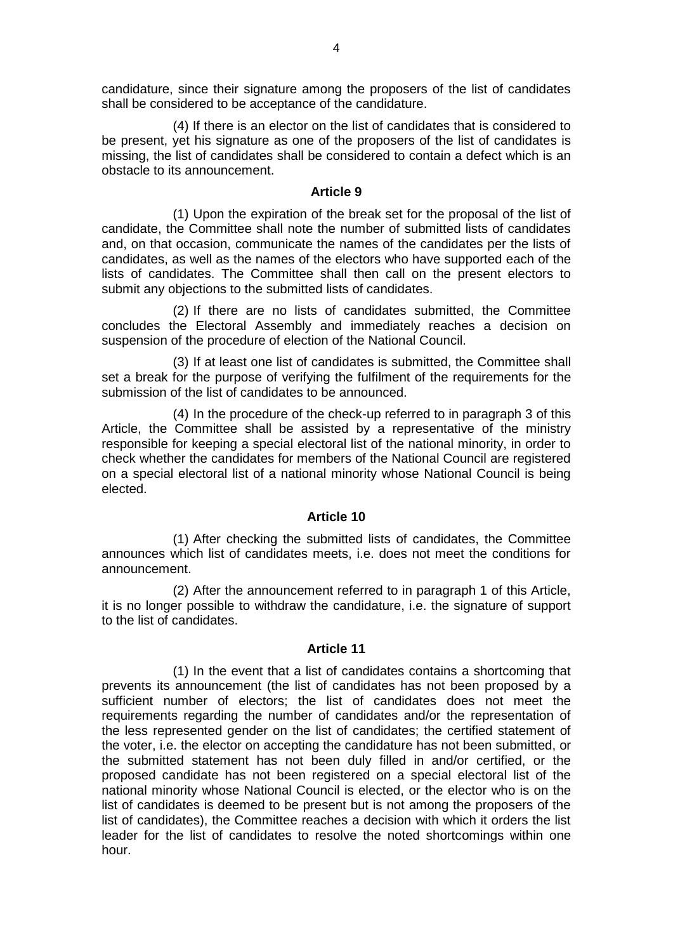candidature, since their signature among the proposers of the list of candidates shall be considered to be acceptance of the candidature.

(4) If there is an elector on the list of candidates that is considered to be present, yet his signature as one of the proposers of the list of candidates is missing, the list of candidates shall be considered to contain a defect which is an obstacle to its announcement.

## **Article 9**

(1) Upon the expiration of the break set for the proposal of the list of candidate, the Committee shall note the number of submitted lists of candidates and, on that occasion, communicate the names of the candidates per the lists of candidates, as well as the names of the electors who have supported each of the lists of candidates. The Committee shall then call on the present electors to submit any objections to the submitted lists of candidates.

(2) If there are no lists of candidates submitted, the Committee concludes the Electoral Assembly and immediately reaches a decision on suspension of the procedure of election of the National Council.

(3) If at least one list of candidates is submitted, the Committee shall set a break for the purpose of verifying the fulfilment of the requirements for the submission of the list of candidates to be announced.

(4) In the procedure of the check-up referred to in paragraph 3 of this Article, the Committee shall be assisted by a representative of the ministry responsible for keeping a special electoral list of the national minority, in order to check whether the candidates for members of the National Council are registered on a special electoral list of a national minority whose National Council is being elected.

#### **Article 10**

(1) After checking the submitted lists of candidates, the Committee announces which list of candidates meets, i.e. does not meet the conditions for announcement.

(2) After the announcement referred to in paragraph 1 of this Article, it is no longer possible to withdraw the candidature, i.e. the signature of support to the list of candidates.

#### **Article 11**

(1) In the event that a list of candidates contains a shortcoming that prevents its announcement (the list of candidates has not been proposed by a sufficient number of electors; the list of candidates does not meet the requirements regarding the number of candidates and/or the representation of the less represented gender on the list of candidates; the certified statement of the voter, i.e. the elector on accepting the candidature has not been submitted, or the submitted statement has not been duly filled in and/or certified, or the proposed candidate has not been registered on a special electoral list of the national minority whose National Council is elected, or the elector who is on the list of candidates is deemed to be present but is not among the proposers of the list of candidates), the Committee reaches a decision with which it orders the list leader for the list of candidates to resolve the noted shortcomings within one hour.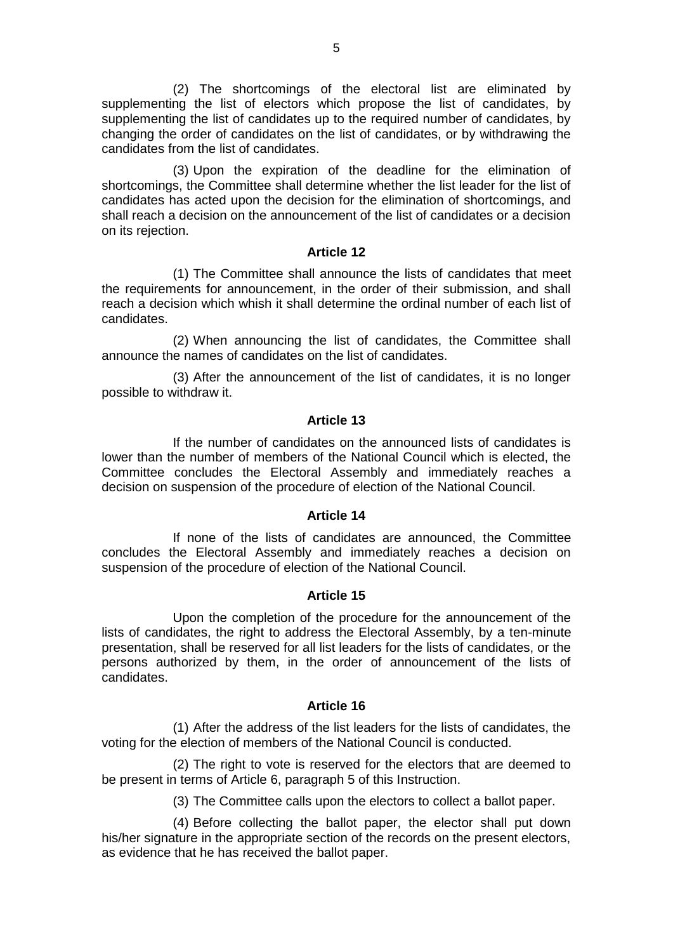(2) The shortcomings of the electoral list are eliminated by supplementing the list of electors which propose the list of candidates, by supplementing the list of candidates up to the required number of candidates, by changing the order of candidates on the list of candidates, or by withdrawing the candidates from the list of candidates.

(3) Upon the expiration of the deadline for the elimination of shortcomings, the Committee shall determine whether the list leader for the list of candidates has acted upon the decision for the elimination of shortcomings, and shall reach a decision on the announcement of the list of candidates or a decision on its rejection.

#### **Article 12**

(1) The Committee shall announce the lists of candidates that meet the requirements for announcement, in the order of their submission, and shall reach a decision which whish it shall determine the ordinal number of each list of candidates.

(2) When announcing the list of candidates, the Committee shall announce the names of candidates on the list of candidates.

(3) After the announcement of the list of candidates, it is no longer possible to withdraw it.

## **Article 13**

If the number of candidates on the announced lists of candidates is lower than the number of members of the National Council which is elected, the Committee concludes the Electoral Assembly and immediately reaches a decision on suspension of the procedure of election of the National Council.

#### **Article 14**

If none of the lists of candidates are announced, the Committee concludes the Electoral Assembly and immediately reaches a decision on suspension of the procedure of election of the National Council.

#### **Article 15**

Upon the completion of the procedure for the announcement of the lists of candidates, the right to address the Electoral Assembly, by a ten-minute presentation, shall be reserved for all list leaders for the lists of candidates, or the persons authorized by them, in the order of announcement of the lists of candidates.

#### **Article 16**

(1) After the address of the list leaders for the lists of candidates, the voting for the election of members of the National Council is conducted.

(2) The right to vote is reserved for the electors that are deemed to be present in terms of Article 6, paragraph 5 of this Instruction.

(3) The Committee calls upon the electors to collect a ballot paper.

(4) Before collecting the ballot paper, the elector shall put down his/her signature in the appropriate section of the records on the present electors, as evidence that he has received the ballot paper.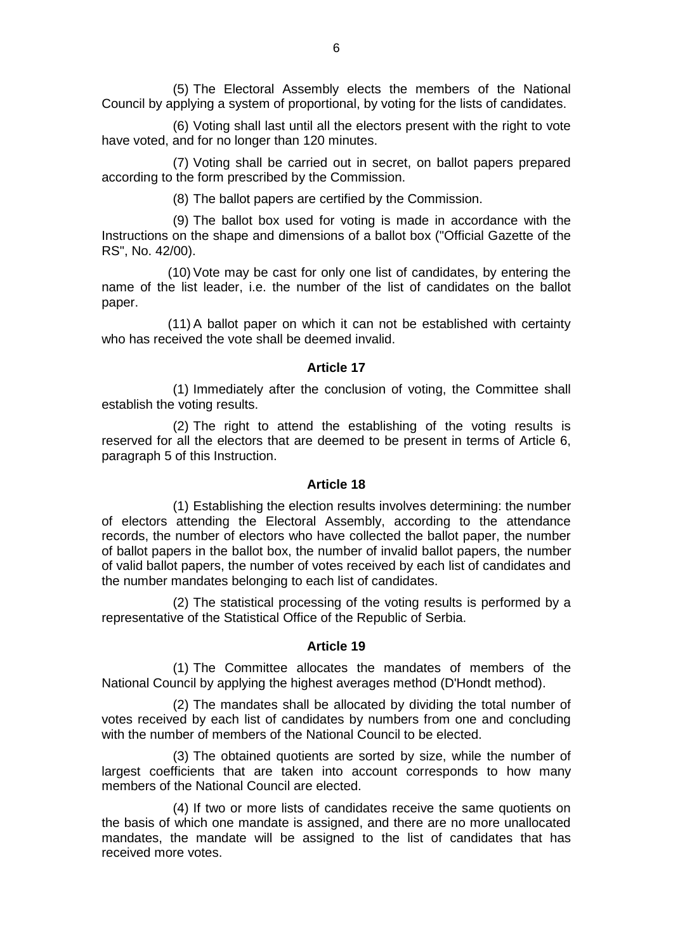(5) The Electoral Assembly elects the members of the National Council by applying a system of proportional, by voting for the lists of candidates.

(6) Voting shall last until all the electors present with the right to vote have voted, and for no longer than 120 minutes.

(7) Voting shall be carried out in secret, on ballot papers prepared according to the form prescribed by the Commission.

(8) The ballot papers are certified by the Commission.

(9) The ballot box used for voting is made in accordance with the Instructions on the shape and dimensions of a ballot box ("Official Gazette of the RS", No. 42/00).

(10) Vote may be cast for only one list of candidates, by entering the name of the list leader, i.e. the number of the list of candidates on the ballot paper.

(11) A ballot paper on which it can not be established with certainty who has received the vote shall be deemed invalid.

#### **Article 17**

(1) Immediately after the conclusion of voting, the Committee shall establish the voting results.

(2) The right to attend the establishing of the voting results is reserved for all the electors that are deemed to be present in terms of Article 6, paragraph 5 of this Instruction.

#### **Article 18**

(1) Establishing the election results involves determining: the number of electors attending the Electoral Assembly, according to the attendance records, the number of electors who have collected the ballot paper, the number of ballot papers in the ballot box, the number of invalid ballot papers, the number of valid ballot papers, the number of votes received by each list of candidates and the number mandates belonging to each list of candidates.

(2) The statistical processing of the voting results is performed by a representative of the Statistical Office of the Republic of Serbia.

### **Article 19**

(1) The Committee allocates the mandates of members of the National Council by applying the highest averages method (D'Hondt method).

(2) The mandates shall be allocated by dividing the total number of votes received by each list of candidates by numbers from one and concluding with the number of members of the National Council to be elected.

(3) The obtained quotients are sorted by size, while the number of largest coefficients that are taken into account corresponds to how many members of the National Council are elected.

(4) If two or more lists of candidates receive the same quotients on the basis of which one mandate is assigned, and there are no more unallocated mandates, the mandate will be assigned to the list of candidates that has received more votes.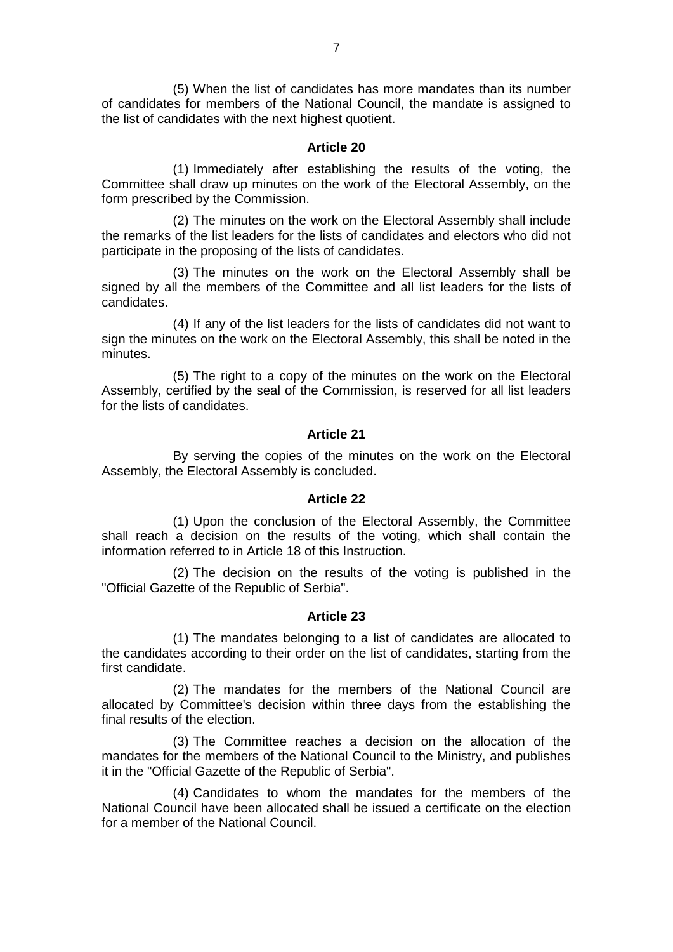(5) When the list of candidates has more mandates than its number of candidates for members of the National Council, the mandate is assigned to the list of candidates with the next highest quotient.

#### **Article 20**

(1) Immediately after establishing the results of the voting, the Committee shall draw up minutes on the work of the Electoral Assembly, on the form prescribed by the Commission.

(2) The minutes on the work on the Electoral Assembly shall include the remarks of the list leaders for the lists of candidates and electors who did not participate in the proposing of the lists of candidates.

(3) The minutes on the work on the Electoral Assembly shall be signed by all the members of the Committee and all list leaders for the lists of candidates.

(4) If any of the list leaders for the lists of candidates did not want to sign the minutes on the work on the Electoral Assembly, this shall be noted in the minutes.

(5) The right to a copy of the minutes on the work on the Electoral Assembly, certified by the seal of the Commission, is reserved for all list leaders for the lists of candidates.

## **Article 21**

By serving the copies of the minutes on the work on the Electoral Assembly, the Electoral Assembly is concluded.

#### **Article 22**

(1) Upon the conclusion of the Electoral Assembly, the Committee shall reach a decision on the results of the voting, which shall contain the information referred to in Article 18 of this Instruction.

(2) The decision on the results of the voting is published in the "Official Gazette of the Republic of Serbia".

#### **Article 23**

(1) The mandates belonging to a list of candidates are allocated to the candidates according to their order on the list of candidates, starting from the first candidate.

(2) The mandates for the members of the National Council are allocated by Committee's decision within three days from the establishing the final results of the election.

(3) The Committee reaches a decision on the allocation of the mandates for the members of the National Council to the Ministry, and publishes it in the "Official Gazette of the Republic of Serbia".

(4) Candidates to whom the mandates for the members of the National Council have been allocated shall be issued a certificate on the election for a member of the National Council.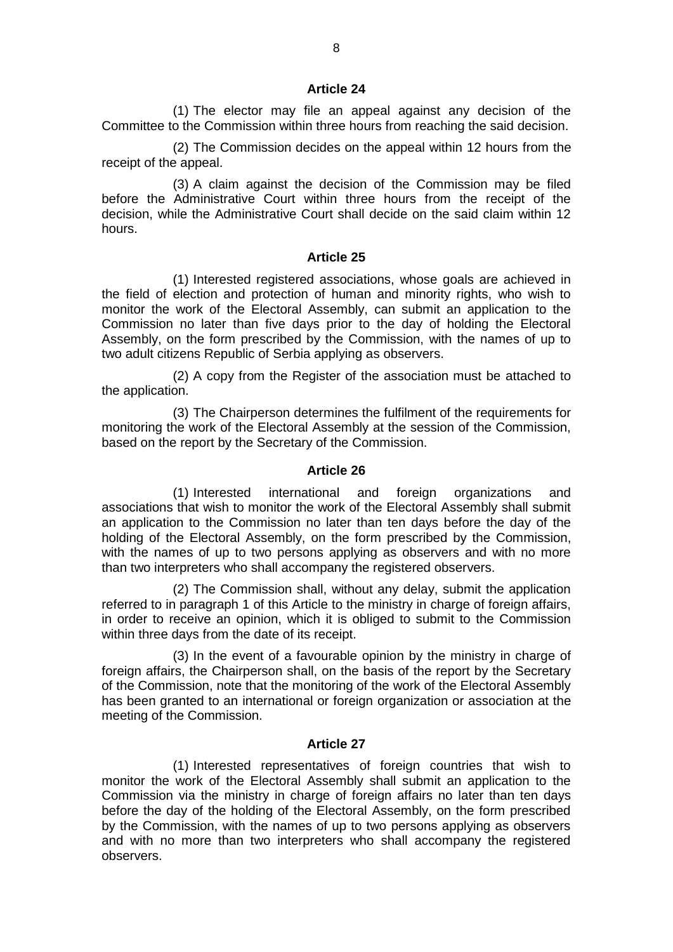#### **Article 24**

(1) The elector may file an appeal against any decision of the Committee to the Commission within three hours from reaching the said decision.

(2) The Commission decides on the appeal within 12 hours from the receipt of the appeal.

(3) A claim against the decision of the Commission may be filed before the Administrative Court within three hours from the receipt of the decision, while the Administrative Court shall decide on the said claim within 12 hours.

#### **Article 25**

(1) Interested registered associations, whose goals are achieved in the field of election and protection of human and minority rights, who wish to monitor the work of the Electoral Assembly, can submit an application to the Commission no later than five days prior to the day of holding the Electoral Assembly, on the form prescribed by the Commission, with the names of up to two adult citizens Republic of Serbia applying as observers.

(2) A copy from the Register of the association must be attached to the application.

(3) The Chairperson determines the fulfilment of the requirements for monitoring the work of the Electoral Assembly at the session of the Commission, based on the report by the Secretary of the Commission.

#### **Article 26**

(1) Interested international and foreign organizations and associations that wish to monitor the work of the Electoral Assembly shall submit an application to the Commission no later than ten days before the day of the holding of the Electoral Assembly, on the form prescribed by the Commission, with the names of up to two persons applying as observers and with no more than two interpreters who shall accompany the registered observers.

(2) The Commission shall, without any delay, submit the application referred to in paragraph 1 of this Article to the ministry in charge of foreign affairs, in order to receive an opinion, which it is obliged to submit to the Commission within three days from the date of its receipt.

(3) In the event of a favourable opinion by the ministry in charge of foreign affairs, the Chairperson shall, on the basis of the report by the Secretary of the Commission, note that the monitoring of the work of the Electoral Assembly has been granted to an international or foreign organization or association at the meeting of the Commission.

#### **Article 27**

(1) Interested representatives of foreign countries that wish to monitor the work of the Electoral Assembly shall submit an application to the Commission via the ministry in charge of foreign affairs no later than ten days before the day of the holding of the Electoral Assembly, on the form prescribed by the Commission, with the names of up to two persons applying as observers and with no more than two interpreters who shall accompany the registered observers.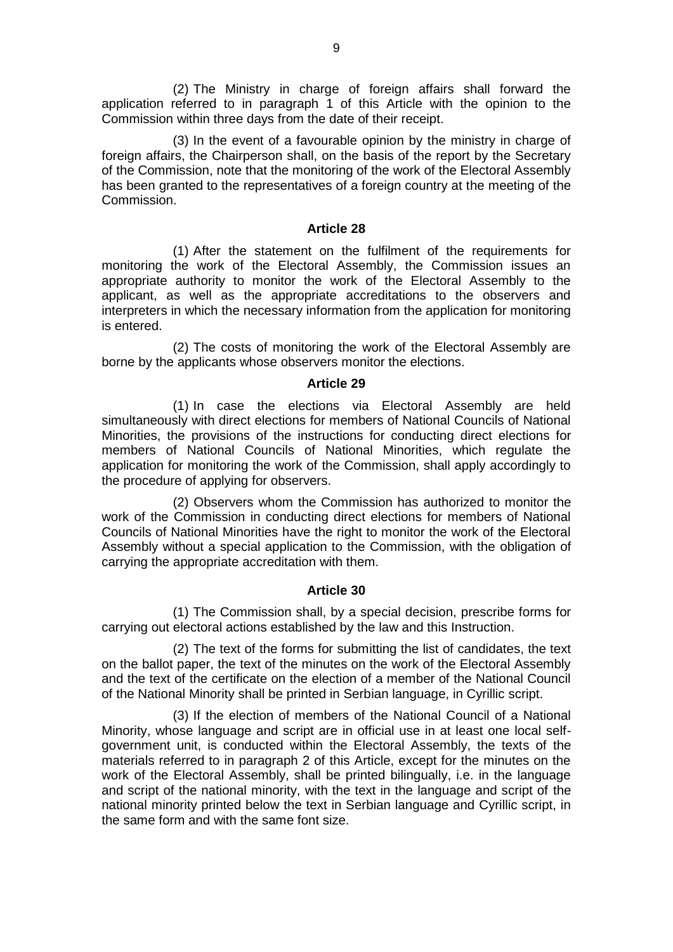(2) The Ministry in charge of foreign affairs shall forward the application referred to in paragraph 1 of this Article with the opinion to the Commission within three days from the date of their receipt.

(3) In the event of a favourable opinion by the ministry in charge of foreign affairs, the Chairperson shall, on the basis of the report by the Secretary of the Commission, note that the monitoring of the work of the Electoral Assembly has been granted to the representatives of a foreign country at the meeting of the Commission.

## **Article 28**

(1) After the statement on the fulfilment of the requirements for monitoring the work of the Electoral Assembly, the Commission issues an appropriate authority to monitor the work of the Electoral Assembly to the applicant, as well as the appropriate accreditations to the observers and interpreters in which the necessary information from the application for monitoring is entered.

(2) The costs of monitoring the work of the Electoral Assembly are borne by the applicants whose observers monitor the elections.

#### **Article 29**

(1) In case the elections via Electoral Assembly are held simultaneously with direct elections for members of National Councils of National Minorities, the provisions of the instructions for conducting direct elections for members of National Councils of National Minorities, which regulate the application for monitoring the work of the Commission, shall apply accordingly to the procedure of applying for observers.

(2) Observers whom the Commission has authorized to monitor the work of the Commission in conducting direct elections for members of National Councils of National Minorities have the right to monitor the work of the Electoral Assembly without a special application to the Commission, with the obligation of carrying the appropriate accreditation with them.

#### **Article 30**

(1) The Commission shall, by a special decision, prescribe forms for carrying out electoral actions established by the law and this Instruction.

(2) The text of the forms for submitting the list of candidates, the text on the ballot paper, the text of the minutes on the work of the Electoral Assembly and the text of the certificate on the election of a member of the National Council of the National Minority shall be printed in Serbian language, in Cyrillic script.

(3) If the election of members of the National Council of a National Minority, whose language and script are in official use in at least one local selfgovernment unit, is conducted within the Electoral Assembly, the texts of the materials referred to in paragraph 2 of this Article, except for the minutes on the work of the Electoral Assembly, shall be printed bilingually, i.e. in the language and script of the national minority, with the text in the language and script of the national minority printed below the text in Serbian language and Cyrillic script, in the same form and with the same font size.